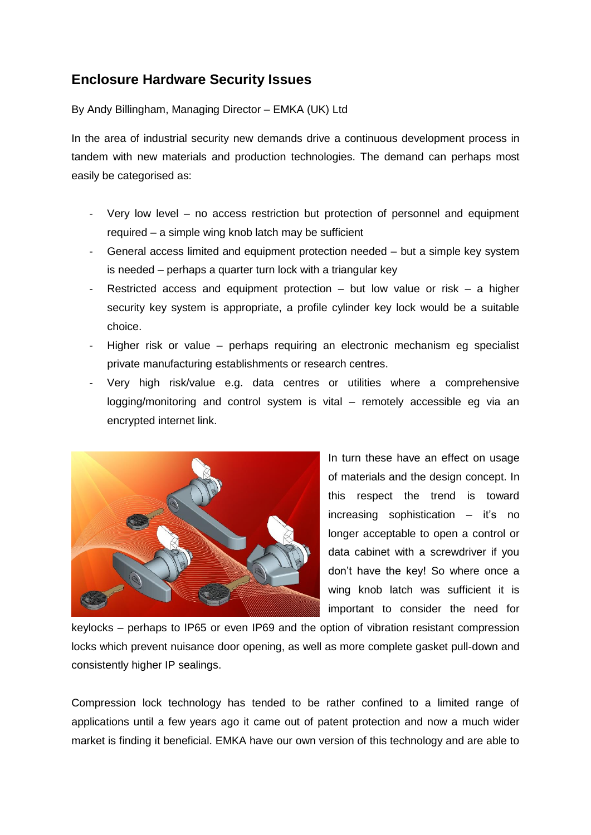## **Enclosure Hardware Security Issues**

By Andy Billingham, Managing Director – EMKA (UK) Ltd

In the area of industrial security new demands drive a continuous development process in tandem with new materials and production technologies. The demand can perhaps most easily be categorised as:

- Very low level no access restriction but protection of personnel and equipment required – a simple wing knob latch may be sufficient
- General access limited and equipment protection needed but a simple key system is needed – perhaps a quarter turn lock with a triangular key
- Restricted access and equipment protection but low value or risk a higher security key system is appropriate, a profile cylinder key lock would be a suitable choice.
- Higher risk or value perhaps requiring an electronic mechanism eg specialist private manufacturing establishments or research centres.
- Very high risk/value e.g. data centres or utilities where a comprehensive logging/monitoring and control system is vital – remotely accessible eg via an encrypted internet link.



In turn these have an effect on usage of materials and the design concept. In this respect the trend is toward increasing sophistication – it's no longer acceptable to open a control or data cabinet with a screwdriver if you don't have the key! So where once a wing knob latch was sufficient it is important to consider the need for

keylocks – perhaps to IP65 or even IP69 and the option of vibration resistant compression locks which prevent nuisance door opening, as well as more complete gasket pull-down and consistently higher IP sealings.

Compression lock technology has tended to be rather confined to a limited range of applications until a few years ago it came out of patent protection and now a much wider market is finding it beneficial. EMKA have our own version of this technology and are able to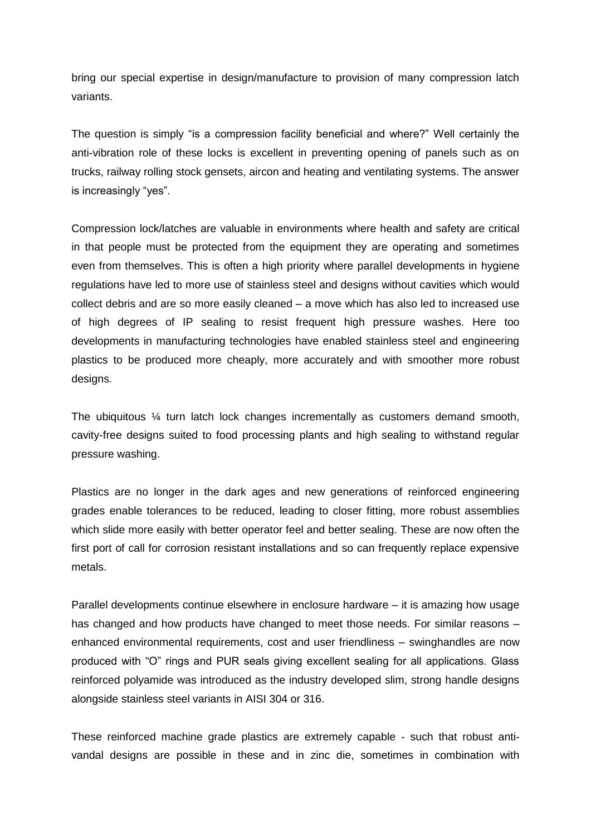bring our special expertise in design/manufacture to provision of many compression latch variants.

The question is simply "is a compression facility beneficial and where?" Well certainly the anti-vibration role of these locks is excellent in preventing opening of panels such as on trucks, railway rolling stock gensets, aircon and heating and ventilating systems. The answer is increasingly "yes".

Compression lock/latches are valuable in environments where health and safety are critical in that people must be protected from the equipment they are operating and sometimes even from themselves. This is often a high priority where parallel developments in hygiene regulations have led to more use of stainless steel and designs without cavities which would collect debris and are so more easily cleaned – a move which has also led to increased use of high degrees of IP sealing to resist frequent high pressure washes. Here too developments in manufacturing technologies have enabled stainless steel and engineering plastics to be produced more cheaply, more accurately and with smoother more robust designs.

The ubiquitous ¼ turn latch lock changes incrementally as customers demand smooth, cavity-free designs suited to food processing plants and high sealing to withstand regular pressure washing.

Plastics are no longer in the dark ages and new generations of reinforced engineering grades enable tolerances to be reduced, leading to closer fitting, more robust assemblies which slide more easily with better operator feel and better sealing. These are now often the first port of call for corrosion resistant installations and so can frequently replace expensive metals.

Parallel developments continue elsewhere in enclosure hardware – it is amazing how usage has changed and how products have changed to meet those needs. For similar reasons – enhanced environmental requirements, cost and user friendliness – swinghandles are now produced with "O" rings and PUR seals giving excellent sealing for all applications. Glass reinforced polyamide was introduced as the industry developed slim, strong handle designs alongside stainless steel variants in AISI 304 or 316.

These reinforced machine grade plastics are extremely capable - such that robust antivandal designs are possible in these and in zinc die, sometimes in combination with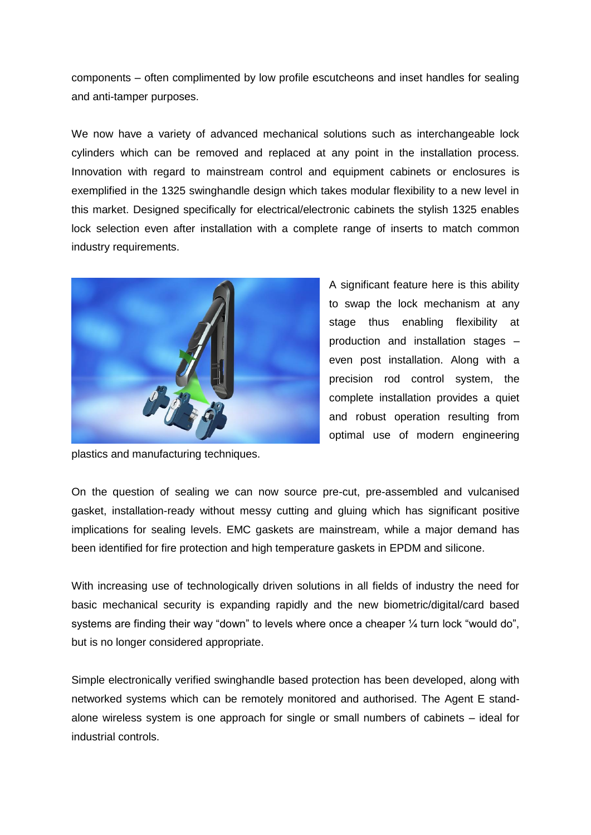components – often complimented by low profile escutcheons and inset handles for sealing and anti-tamper purposes.

We now have a variety of advanced mechanical solutions such as interchangeable lock cylinders which can be removed and replaced at any point in the installation process. Innovation with regard to mainstream control and equipment cabinets or enclosures is exemplified in the 1325 swinghandle design which takes modular flexibility to a new level in this market. Designed specifically for electrical/electronic cabinets the stylish 1325 enables lock selection even after installation with a complete range of inserts to match common industry requirements.



plastics and manufacturing techniques.

A significant feature here is this ability to swap the lock mechanism at any stage thus enabling flexibility at production and installation stages – even post installation. Along with a precision rod control system, the complete installation provides a quiet and robust operation resulting from optimal use of modern engineering

On the question of sealing we can now source pre-cut, pre-assembled and vulcanised gasket, installation-ready without messy cutting and gluing which has significant positive implications for sealing levels. EMC gaskets are mainstream, while a major demand has been identified for fire protection and high temperature gaskets in EPDM and silicone.

With increasing use of technologically driven solutions in all fields of industry the need for basic mechanical security is expanding rapidly and the new biometric/digital/card based systems are finding their way "down" to levels where once a cheaper  $\frac{1}{4}$  turn lock "would do", but is no longer considered appropriate.

Simple electronically verified swinghandle based protection has been developed, along with networked systems which can be remotely monitored and authorised. The Agent E standalone wireless system is one approach for single or small numbers of cabinets – ideal for industrial controls.